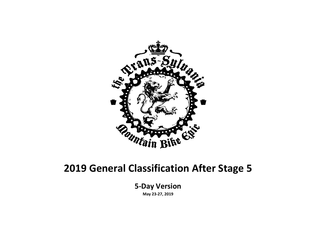

#### **2019 General Classification After Stage 5**

**5-Day Version**

**May 23-27, 2019**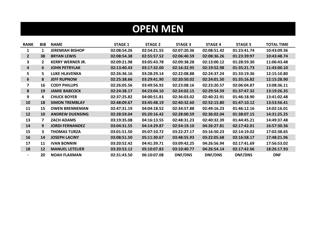## **OPEN MEN**

| <b>RANK</b>  | <b>BIB</b> | <b>NAME</b>             | <b>STAGE 1</b> | <b>STAGE 2</b> | <b>STAGE 3</b> | <b>STAGE 4</b> | <b>STAGE 5</b> | <b>TOTAL TIME</b> |
|--------------|------------|-------------------------|----------------|----------------|----------------|----------------|----------------|-------------------|
| 1            | 1          | <b>JEREMIAH BISHOP</b>  | 02:08:54.26    | 02:54:21.55    | 02:07:20.36    | 02:08:51.42    | 01:23:41.74    | 10:43:09.36       |
| $\mathbf{2}$ | 38         | <b>BRYAN LEWIS</b>      | 02:08:54.38    | 02:55:57.52    | 02:06:40.59    | 02:08:36.26    | 01:23:39:97    | 10:43:48.74       |
| 3            | 2          | <b>KERRY WERNER JR.</b> | 02:09:21.98    | 03:05:43.78    | 02:09:38.28    | 02:13:00.12    | 01:28:59.30    | 11:06:43.48       |
| 4            | 6          | <b>JOHN PETRYLAK</b>    | 02:13:40.43    | 03:17:32.00    | 02:16:32.95    | 02:19:52.98    | 01:35:21.73    | 11:43:00.10       |
| 5.           | 5.         | <b>LUKE HLAVENKA</b>    | 02:26:36.16    | 03:28:29.14    | 02:22:08.88    | 02:24:37.24    | 01:33:19.36    | 12:15:10.80       |
| 6            | 8          | <b>JEFF RUPNOW</b>      | 02:25:38.66    | 03:29:41.90    | 02:20:50.02    | 02:24:01.50    | 01:35:16.82    | 12:15:28.90       |
| 7            | 16         | <b>CODY PHILLIPS</b>    | 02:26:05.56    | 03:49:56.92    | 02:23:08.16    | 02:23:20.57    | 02:06:04.87    | 13:08:36.11       |
| 8            | 19         | <b>JAMIE BABCOCK</b>    | 02:24:38.17    | 04:23:04.10    | 02:24:02.15    | 02:29:54.59    | 01:37:47.32    | 13:19:26.35       |
| 9            | 4          | <b>CHUCK BOYER</b>      | 02:37:25.82    | 04:00:51.81    | 02:36:03.02    | 02:40:22.91    | 01:46:18.90    | 13:41:02.48       |
| 10           | 18         | <b>SIMON TREMBLAY</b>   | 02:48:09.67    | 03:45:48.19    | 02:40:32.60    | 02:52:15.80    | 01:47:10.12    | 13:53:56.41       |
| 11           | 15         | <b>OWEN BRENNEMAN</b>   | 02:47:31.19    | 04:04:18.52    | 02:34:57.88    | 02:49:16.23    | 01:46:12.16    | 14:02:16.01       |
| 12           | 10         | <b>ANDREW DUENSING</b>  | 02:28:59.04    | 05:20:16.42    | 02:28:00.59    | 02:36:02.04    | 01:38:07.15    | 14:31:25.25       |
| 13           | 7          | <b>ZACH ADAMS</b>       | 03:19:35.08    | 04:16:13.55    | 02:48:31.23    | 02:40:32.39    | 01:44:45.21    | 14:49:37.48       |
| 14           | 9          | <b>JORDI FERNANDEZ</b>  | 03:04:31.55    | 04:14:29.87    | 02:54:19.10    | 04:26:27.81    | 02:17:42.01    | 16:57:30.36       |
| 15           | 3          | <b>THOMAS TURZA</b>     | 03:01:51.50    | 05:07:10.72    | 03:22:27.17    | 03:16:50.23    | 02:14:19.02    | 17:02:38.65       |
| 16           | 14         | <b>JOSEPH LACINY</b>    | 03:08:51.50    | 05:11:30.67    | 03:48:55.93    | 03:22:05.68    | 02:16:58.17    | 17:48:21.96       |
| 17           | 11         | <b>IVAN BONNIN</b>      | 03:20:52.42    | 04:41:39.71    | 03:09:42.25    | 04:26:56.94    | 02:17:41.69    | 17:56:53.02       |
| 18           | 12         | <b>MANUEL LETELIER</b>  | 03:20:53.12    | 05:10:07.83    | 03:10:40.77    | 04:26:54.14    | 02:17:42.06    | 18:26:17.93       |
|              | 20         | <b>NOAH FLAXMAN</b>     | 02:31:43.50    | 06:10:07.08    | <b>DNF/DNS</b> | DNF/DNS        | DNF/DNS        | <b>DNF</b>        |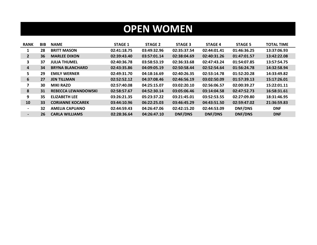## **OPEN WOMEN**

| <b>RANK</b>              | <b>BIB</b> | <b>NAME</b>                | <b>STAGE 1</b> | <b>STAGE 2</b> | <b>STAGE 3</b> | <b>STAGE 4</b> | <b>STAGE 5</b> | <b>TOTAL TIME</b> |
|--------------------------|------------|----------------------------|----------------|----------------|----------------|----------------|----------------|-------------------|
| 1                        | 28         | <b>BRITT MASON</b>         | 02:41:18.75    | 03:49:32.96    | 02:35:37.54    | 02:44:01.41    | 01:46:36.25    | 13:37:06.93       |
| $2^{\circ}$              | 36         | <b>MARLEE DIXON</b>        | 02:39:43.40    | 03:57:01.14    | 02:38:04.69    | 02:40:31.26    | 01:47:01.57    | 13:42:22.08       |
| 3.                       | 37         | <b>JULIA THUMEL</b>        | 02:40:36.78    | 03:58:53.19    | 02:36:33.68    | 02:47:43.24    | 01:54:07.85    | 13:57:54.75       |
| $\overline{a}$           | 34         | <b>BRYNA BLANCHARD</b>     | 02:43:35.86    | 04:09:05.19    | 02:50:58.44    | 02:52:54.64    | 01:56:24.78    | 14:32:58.94       |
| 5.                       | 29         | <b>EMILY WERNER</b>        | 02:49:31.70    | 04:18:16.69    | 02:40:26.35    | 02:53:14.78    | 01:52:20.28    | 14:33:49.82       |
| 6                        | 27         | <b>JEN TILLMAN</b>         | 02:52:52.12    | 04:37:08.46    | 02:46:56.19    | 03:02:50.09    | 01:57:39.13    | 15:17:26.01       |
| 7                        | 30         | <b>MIKI RAZO</b>           | 02:57:40.08    | 04:25:15.07    | 03:02:20.10    | 02:56:06.57    | 02:00:39.27    | 15:22:01.11       |
| 8                        | 31         | <b>REBECCA LEWANDOWSKI</b> | 02:58:57.67    | 04:52:30.14    | 03:05:06.46    | 03:14:04.58    | 02:47:52.73    | 16:58:31.61       |
| 9                        | 35         | <b>ELIZABETH LEE</b>       | 03:26:21.35    | 05:23:37.22    | 03:21:45.01    | 03:52:53.55    | 02:27:09.80    | 18:31:46.95       |
| 10                       | 33         | <b>CORIANNE KOCAREK</b>    | 03:44:10.96    | 06:22:25.03    | 03:46:45.29    | 04:43:51.50    | 02:59:47.02    | 21:36:59.83       |
| $\overline{\phantom{0}}$ | 32         | <b>AMELIA CAPUANO</b>      | 02:44:59.43    | 04:26:47.06    | 02:42:15.20    | 02:44:53.09    | DNF/DNS        | <b>DNF</b>        |
| $\overline{\phantom{0}}$ | 26         | <b>CARLA WILLIAMS</b>      | 02:28:36.64    | 04:26:47.10    | DNF/DNS        | DNF/DNS        | <b>DNF/DNS</b> | <b>DNF</b>        |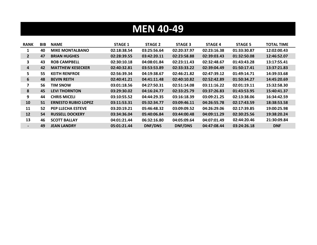# **MEN 40-49**

| <b>RANK</b>  | <b>BIB</b> | <b>NAME</b>                | <b>STAGE 1</b> | <b>STAGE 2</b> | <b>STAGE 3</b> | <b>STAGE 4</b> | <b>STAGE 5</b> | <b>TOTAL TIME</b> |
|--------------|------------|----------------------------|----------------|----------------|----------------|----------------|----------------|-------------------|
| 1            | 40         | <b>MIKE MONTALBANO</b>     | 02:18:38.54    | 03:25:56.64    | 02:20:37.97    | 02:23:16.38    | 01:33:30.87    | 12:02:00.43       |
| $\mathbf{2}$ | 47         | <b>BRIAN HUGHES</b>        | 02:28:39.55    | 03:42:20.11    | 02:23:58.88    | 02:39:03.43    | 01:32:50.08    | 12:46:52.07       |
| 3            | 43         | <b>ROB CAMPBELL</b>        | 02:30:10.18    | 04:08:01.84    | 02:23:11.43    | 02:32:48.67    | 01:43:43.28    | 13:17:55.41       |
| 4            | 42         | <b>MATTHEW KESECKER</b>    | 02:40:32.81    | 03:53:53.89    | 02:33:33.22    | 02:39:04.49    | 01:50:17.41    | 13:37:21.83       |
| 5.           | 55         | <b>KEITH RENFROE</b>       | 02:56:39.34    | 04:19:38.67    | 02:46:21.82    | 02:47:39.12    | 01:49:14.71    | 14:39:33.68       |
| 6            | 48         | <b>BEVIN REITH</b>         | 02:40:41.21    | 04:41:11.48    | 02:40:10.82    | 02:52:42.89    | 01:50:34.27    | 14:45:20.69       |
| 7            | 56         | <b>TIM SNOW</b>            | 03:01:18.56    | 04:27:50.31    | 02:51:14.08    | 03:11:16.22    | 02:01:19.11    | 15:32:58.30       |
| 8            | 45         | <b>LEVI THORNTON</b>       | 03:29:30.02    | 04:16:24.77    | 02:33:25.79    | 03:37:26.83    | 01:43:53.95    | 15:40:41.37       |
| 9            | 44         | <b>CHRIS MICELI</b>        | 03:10:55.52    | 04:44:29.35    | 03:16:18.39    | 03:09:21.25    | 02:13:38.06    | 16:34:42.59       |
| 10           | 51         | <b>ERNESTO RUBIO LOPEZ</b> | 03:11:53.31    | 05:32:34.77    | 03:09:46.11    | 04:26:55.78    | 02:17:43.59    | 18:38:53.58       |
| 11           | 52         | <b>PEP LLECHA ESTEVE</b>   | 03:20:19.21    | 05:46:48.32    | 03:09:09.52    | 04:26:29.06    | 02:17:39.85    | 19:00:25.98       |
| 12           | 54         | <b>RUSSELL DOCKERY</b>     | 03:34:36.04    | 05:40:06.84    | 03:44:00.48    | 04:09:11.29    | 02:30:25.56    | 19:38:20.24       |
| 13           | 46         | <b>SCOTT BALLAY</b>        | 04:01:21.44    | 06:32:16.80    | 04:05:09.64    | 04:07:01.49    | 02:44:20.46    | 21:30:09.84       |
|              | 49         | <b>JEAN LANDRY</b>         | 05:01:21.44    | DNF/DNS        | DNF/DNS        | 04:47:08.44    | 03:24:26.18    | <b>DNF</b>        |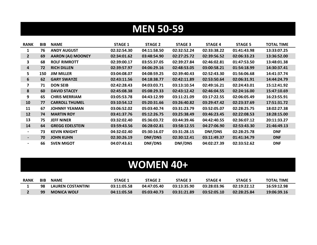## **MEN 50-59**

| <b>RANK</b>              | BIB | <b>NAME</b>              | <b>STAGE 1</b> | <b>STAGE 2</b> | <b>STAGE 3</b> | <b>STAGE 4</b> | <b>STAGE 5</b> | <b>TOTAL TIME</b> |
|--------------------------|-----|--------------------------|----------------|----------------|----------------|----------------|----------------|-------------------|
|                          | 76  | <b>ANDY AUGUST</b>       | 02:32:54.30    | 04:11:58.50    | 02:32:52.24    | 02:33:38.22    | 01:41:43.98    | 13:33:07.25       |
| $\overline{2}$           | 69  | <b>AARON (AJ) MOONEY</b> | 02:34:01.62    | 03:48:54.90    | 02:27:25.72    | 02:39:56.52    | 02:06:33.23    | 13:36:52.00       |
| 3                        | 68  | <b>ROLF RIMROTT</b>      | 02:39:00.17    | 03:55:37.05    | 02:39:27.84    | 02:46:02.81    | 01:47:53.50    | 13:48:01.38       |
| 4                        | 72  | <b>RICH DILLEN</b>       | 02:39:57.97    | 04:06:29.16    | 02:48:53.05    | 03:00:58.21    | 01:54:18.99    | 14:30:37.41       |
| 5                        | 150 | <b>JIM MILLER</b>        | 03:04:08.07    | 04:08:59.25    | 02:39:40.43    | 02:52:43.30    | 01:56:06.68    | 14:41:37.74       |
| 6                        | 62  | <b>GARY SWAYZE</b>       | 02:43:11.56    | 04:18:38.77    | 02:42:11.89    | 02:53:50.64    | 02:06:31.91    | 14:44:24.79       |
| $\overline{ }$           | 71  | <b>DON SEIB</b>          | 02:42:28.43    | 04:03:03.71    | 03:13:10.54    | 02:49:16.21    | 02:24:43.01    | 15:12:41.92       |
| 8                        | 60  | <b>DAVID STACEY</b>      | 02:45:08.38    | 05:08:29.33    | 02:43:12.42    | 02:46:04.55    | 02:24:16.00    | 15:47:10.69       |
| 9                        | 65  | <b>CHRIS MERRIAM</b>     | 03:05:53.78    | 04:43:12.99    | 03:11:21.09    | 03:17:22.55    | 02:06:05.49    | 16:23:55.91       |
| 10                       | 77  | <b>CARROLL THUMEL</b>    | 03:10:54.12    | 05:20:31.66    | 03:26:40.82    | 03:29:47.42    | 02:23:37.69    | 17:51:31.72       |
| 11                       | 67  | <b>JOHNNY YEAMAN</b>     | 03:06:52.02    | 05:03:40.74    | 03:31:23.79    | 03:52:05.07    | 02:28:25.75    | 18:02:27.38       |
| 12                       | 74  | <b>MARTIN ROY</b>        | 03:41:37.76    | 05:12:26.75    | 03:25:38.49    | 03:46:23.45    | 02:22:08.53    | 18:28:15.00       |
| 13                       | 75  | <b>JEFF NINER</b>        | 03:32:02.40    | 05:36:03.72    | 03:44:39.46    | 04:42:40.55    | 02:36:07.12    | 20:11:33.27       |
| 14                       | 64  | <b>GREGG EDELSTEIN</b>   | 03:59:43.56    | 06:28:02.81    | 03:58:12.55    | 04:27:06.90    | 02:53:43.30    | 21:46:49.13       |
|                          | 73  | <b>KEVIN KNIGHT</b>      | 04:32:02.40    | 05:30:16.07    | 03:31:28.15    | DNF/DNS        | 02:28:25.78    | <b>DNF</b>        |
| $\overline{\phantom{a}}$ | 70  | <b>JOHN KUHN</b>         | 02:30:26.19    | <b>DNF/DNS</b> | 02:30:12.41    | 03:11:49.37    | 01:41:34.79    | <b>DNF</b>        |
|                          | 66  | <b>SVEN MIGOT</b>        | 04:07:43.61    | DNF/DNS        | <b>DNF/DNS</b> | 04:02:27.39    | 02:33:52.62    | <b>DNF</b>        |

## **WOMEN 40+**

| <b>RANK</b> | <b>BIB</b> | <b>NAME</b>        | STAGE 1     | <b>STAGE 2</b> | <b>STAGE 3</b> | <b>STAGE 4</b> | <b>STAGE 5</b> | <b>TOTAL TIME</b> |
|-------------|------------|--------------------|-------------|----------------|----------------|----------------|----------------|-------------------|
|             | 98         | LAUREN COSTANTINI  | 03:11:05.58 | 04:47:05.40    | 03:13:35.90    | 03:28:03.96    | 02:19:22.12    | 16:59:12.98       |
|             | 99         | <b>MONICA WOLF</b> | 04:11:05.58 | 05:03:40.73    | 03:31:21.89    | 03:52:05.10    | 02:28:25.84    | 19:06:39.16       |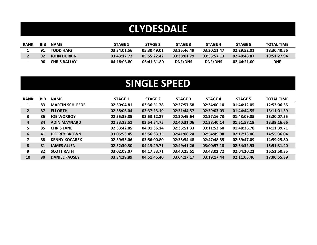### **CLYDESDALE**

| <b>RANK</b> | BIB | <b>NAME</b>         | <b>STAGE 1</b> | <b>STAGE 2</b> | STAGE 3        | <b>STAGE 4</b> | <b>STAGE 5</b> | <b>TOTAL TIME</b> |
|-------------|-----|---------------------|----------------|----------------|----------------|----------------|----------------|-------------------|
|             | 91  | TODD HAIG           | 03:34:01.56    | 05:30:49.01    | 03:25:46.49    | 03:30:11.47    | 02:29:52.01    | 18:30:40.56       |
|             | 92  | <b>JOHN DURKIN</b>  | 03:43:17.72    | 05:55:22.42    | 03:38:01.79    | 03:53:57.13    | 02:40:48.87    | 19:51:27.94       |
|             | 90  | <b>CHRIS BALLAY</b> | 04:18:03.80    | 06:41:31.80    | <b>DNF/DNS</b> | <b>DNF/DNS</b> | 02:44:21.00    | <b>DNF</b>        |

### **SINGLE SPEED**

| <b>RANK</b>    | <b>BIB</b> | <b>NAME</b>            | <b>STAGE 1</b> | <b>STAGE 2</b> | <b>STAGE 3</b> | <b>STAGE 4</b> | <b>STAGE 5</b> | <b>TOTAL TIME</b> |
|----------------|------------|------------------------|----------------|----------------|----------------|----------------|----------------|-------------------|
|                | 83         | <b>MARTIN SCHLEEDE</b> | 02:30:04.81    | 03:36:51.78    | 02:27:57.58    | 02:34:00.10    | 01:44:12.05    | 12:53:06.35       |
| $\overline{2}$ | 87         | <b>ELI ORTH</b>        | 02:38:06.04    | 03:37:23.19    | 02:31:44.57    | 02:39:03.03    | 01:44:44.55    | 13:11:01.39       |
| 3              | 86         | <b>JOE WORBOY</b>      | 02:35:39.85    | 03:53:12.27    | 02:30:49.64    | 02:37:16.73    | 01:43:09.05    | 13:20:07.55       |
| 4              | 84         | <b>ADIN MAYNARD</b>    | 02:33:13.51    | 03:54:54.75    | 02:40:31.06    | 02:38:40.14    | 01:51:57.19    | 13:39:16.66       |
| 5.             | 85         | <b>CHRIS LANE</b>      | 02:33:42.85    | 04:01:35.14    | 02:35:51.33    | 03:11:53.60    | 01:48:36.78    | 14:11:39.71       |
| 6              | 41         | <b>JEFFREY BROWN</b>   | 03:05:53.45    | 03:56:33.35    | 02:41:06.24    | 02:54:49.98    | 02:17:13.00    | 14:55:36.04       |
| 7              | 88         | <b>KENNY KOCAREK</b>   | 02:39:55.06    | 03:56:00.80    | 02:35:54.48    | 02:47:48.35    | 02:59:47.09    | 14:59:25.80       |
| 8              | 81         | <b>JAMES ALLEN</b>     | 02:52:30.30    | 04:13:49.71    | 02:49:41.26    | 03:00:57.18    | 02:54:32.93    | 15:51:31.40       |
| 9              | 82         | <b>SCOTT RATH</b>      | 03:02:08.07    | 04:17:53.71    | 03:40:25.61    | 03:48:02.72    | 02:04:20.22    | 16:52:50.35       |
| 10             | 80         | <b>DANIEL FAUSEY</b>   | 03:34:29.89    | 04:51:45.40    | 03:04:17.17    | 03:19:17.44    | 02:11:05.46    | 17:00:55.39       |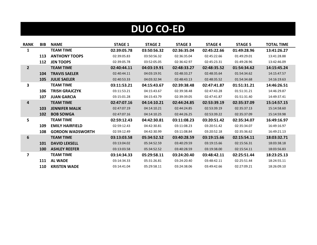# **DUO CO-ED**

| <b>RANK</b>             | <b>BIB</b> | <b>NAME</b>             | <b>STAGE 1</b> | <b>STAGE 2</b> | <b>STAGE 3</b> | <b>STAGE 4</b> | <b>STAGE 5</b> | <b>TOTAL TIME</b> |
|-------------------------|------------|-------------------------|----------------|----------------|----------------|----------------|----------------|-------------------|
| 1                       |            | <b>TEAM TIME</b>        | 02:39:05.78    | 03:50:56.32    | 02:36:35.04    | 02:45:22.66    | 01:49:28.96    | 13:41:26.27       |
|                         | 113        | <b>ANTHONY TOOPS</b>    | 02:39:05.83    | 03:50:56.32    | 02:36:35.04    | 02:45:22.66    | 01:49:29.01    | 13:41:28.88       |
|                         | 112        | <b>JEN TOOPS</b>        | 02:39:05.78    | 03:52:05.05    | 02:36:42.97    | 02:45:23.31    | 01:49:28.96    | 13:42:46.09       |
| $\overline{2}$          |            | <b>TEAM TIME</b>        | 02:40:44.11    | 04:03:19.91    | 02:48:33.27    | 02:48:35.52    | 01:54:34.62    | 14:15:45.24       |
|                         | 104        | <b>TRAVIS SAELER</b>    | 02:40:44.11    | 04:03:19.91    | 02:48:33.27    | 02:48:35.64    | 01:54:34.62    | 14:15:47.57       |
|                         | 105        | <b>JULIE SAELER</b>     | 02:40:53.33    | 04:03:32.94    | 02:48:43.13    | 02:48:35.52    | 01:54:34.68    | 14:16:19.63       |
| 3                       |            | <b>TEAM TIME</b>        | 03:11:53.21    | 04:15:43.67    | 02:39:38.48    | 02:47:41.87    | 01:51:31.21    | 14:46:26.51       |
|                         | 106        | <b>TRISH GRAJCZYK</b>   | 03:11:53.21    | 04:15:43.67    | 02:39:38.48    | 02:47:43.28    | 01:51:31.21    | 14:46:29.87       |
|                         | 107        | <b>JUAN GARCIA</b>      | 03:15:01.28    | 04:15:43.79    | 02:39:39.05    | 02:47:41.87    | 01:51:31.40    | 14:49:37.41       |
| 4                       |            | <b>TEAM TIME</b>        | 02:47:07.16    | 04:14:10.21    | 02:44:24.85    | 02:53:39.19    | 02:35:37.09    | 15:14:57.15       |
|                         | 103        | <b>JENNIFER MALIK</b>   | 02:47:07.19    | 04:14:10.21    | 02:44:24.85    | 02:53:39.19    | 02:35:37.13    | 15:14:58.60       |
|                         | 102        | <b>BOB SOWGA</b>        | 02:47:07.16    | 04:14:10.25    | 02:44:26.25    | 02:53:39.22    | 02:35:37.09    | 15:14:59.98       |
| 5                       |            | <b>TEAM TIME</b>        | 02:59:12.43    | 04:42:30.81    | 03:11:08.23    | 03:20:51.42    | 02:35:34.07    | 16:49:16.97       |
|                         | 109        | <b>EMILY HAIRFIELD</b>  | 02:59:12.43    | 04:42:30.81    | 03:11:08.23    | 03:20:51.42    | 02:35:34.07    | 16:49:16.97       |
|                         | 108        | <b>GORDON WADSWORTH</b> | 02:59:12.49    | 04:42:30.99    | 03:11:08.84    | 03:20:52.18    | 02:35:36.62    | 16:49:21.13       |
| 6                       |            | <b>TEAM TIME</b>        | 03:13:03.58    | 05:34:52.52    | 03:40:28.59    | 03:19:15.66    | 02:15:54.11    | 18:03:32.71       |
|                         | 101        | <b>DAVID LEKSELL</b>    | 03:13:04.02    | 05:34:52.59    | 03:40:29.59    | 03:19:15.66    | 02:15:56.31    | 18:03:38.18       |
|                         | <b>100</b> | <b>ASHLEY REEFER</b>    | 03:13:03.58    | 05:34:52.52    | 03:40:28.59    | 03:19:38.00    | 02:15:54.11    | 18:03:56.83       |
| $\overline{\mathbf{z}}$ |            | <b>TEAM TIME</b>        | 03:14:34.33    | 05:29:58.11    | 03:24:20.40    | 03:48:42.11    | 02:25:51.44    | 18:23:25.13       |
|                         | 111        | <b>AL WADE</b>          | 03:14:34.33    | 05:31:26.81    | 03:24:20.40    | 03:48:42.11    | 02:25:51.44    | 18:24:55.11       |
|                         | 110        | <b>KRISTEN WADE</b>     | 03:14:41.04    | 05:29:58.11    | 03:24:38.06    | 03:49:42.66    | 02:27:09.21    | 18:26:09.10       |